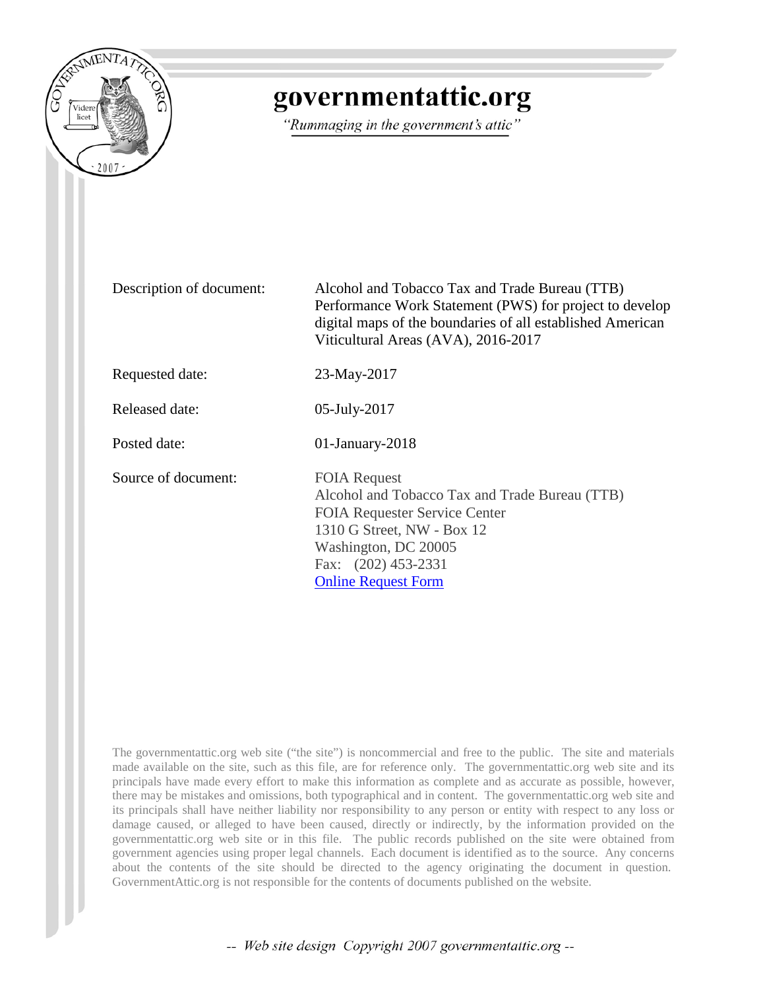

# governmentattic.org

"Rummaging in the government's attic"

Description of document: Alcohol and Tobacco Tax and Trade Bureau (TTB) Performance Work Statement (PWS) for project to develop digital maps of the boundaries of all established American Viticultural Areas (AVA), 2016-2017

Requested date: 23-May-2017

Released date: 05-July-2017

Posted date: 01-January-2018

Source of document: FOIA Request

Alcohol and Tobacco Tax and Trade Bureau (TTB) FOIA Requester Service Center 1310 G Street, NW - Box 12 Washington, DC 20005 Fax: (202) 453-2331 [Online Request Form](https://www.treasury.gov/foia/pages/gofoia.aspx)

The governmentattic.org web site ("the site") is noncommercial and free to the public. The site and materials made available on the site, such as this file, are for reference only. The governmentattic.org web site and its principals have made every effort to make this information as complete and as accurate as possible, however, there may be mistakes and omissions, both typographical and in content. The governmentattic.org web site and its principals shall have neither liability nor responsibility to any person or entity with respect to any loss or damage caused, or alleged to have been caused, directly or indirectly, by the information provided on the governmentattic.org web site or in this file. The public records published on the site were obtained from government agencies using proper legal channels. Each document is identified as to the source. Any concerns about the contents of the site should be directed to the agency originating the document in question. GovernmentAttic.org is not responsible for the contents of documents published on the website.

-- Web site design Copyright 2007 governmentattic.org --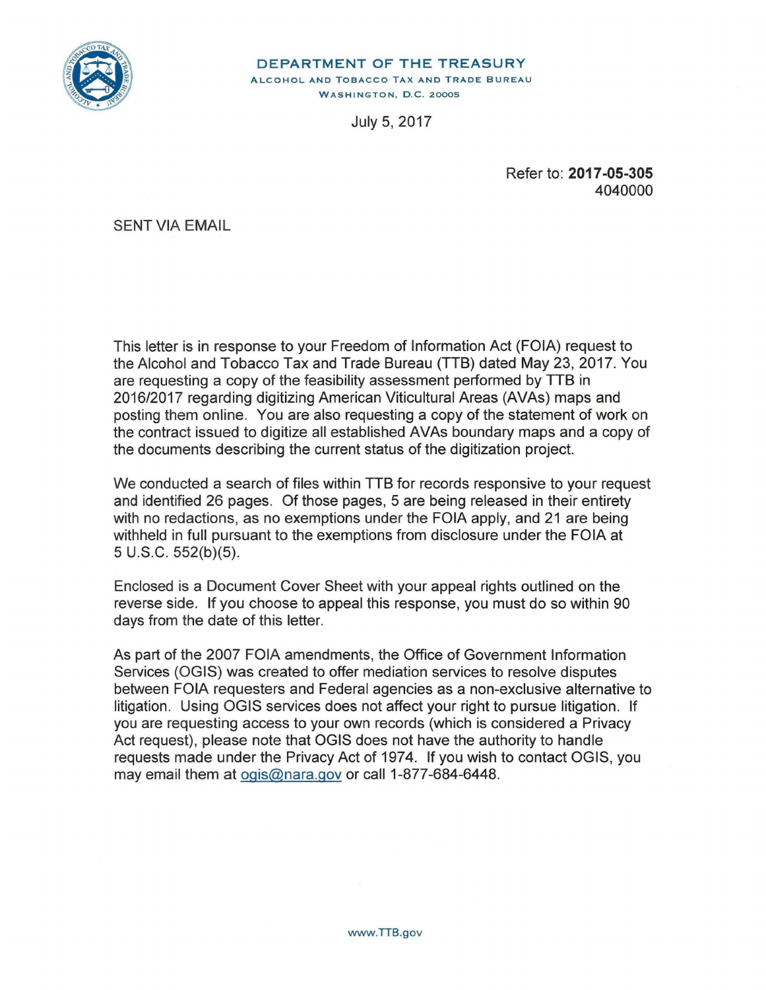

#### **DEPARTMENT OF THE TREASURY**  ALCOHOL AND TOBACCO TAX AND TRADE BUREAU **WASHINGTON, D.C. 20005**

July 5, 2017

Refer to: **2017-05-305**  4040000

SENT VIA EMAIL

This letter is in response to your Freedom of Information Act (FOIA) request to the Alcohol and Tobacco Tax and Trade Bureau (TTB) dated May 23, 2017. You are requesting a copy of the feasibility assessment performed by TTB in 2016/2017 regarding digitizing American Viticultural Areas (AVAs) maps and posting them online. You are also requesting a copy of the statement of work on the contract issued to digitize all established AVAs boundary maps and a copy of the documents describing the current status of the digitization project.

We conducted a search of files within TTB for records responsive to your request and identified 26 pages. Of those pages, 5 are being released in their entirety with no redactions, as no exemptions under the FOIA apply, and 21 are being withheld in full pursuant to the exemptions from disclosure under the FOIA at 5 U.S.C. 552(b)(5).

Enclosed is a Document Cover Sheet with your appeal rights outlined on the reverse side. If you choose to appeal this response, you must do so within 90 days from the date of this letter.

As part of the 2007 FOIA amendments, the Office of Government Information Services (OGIS) was created to offer mediation services to resolve disputes between FOIA requesters and Federal agencies as a non-exclusive alternative to litigation. Using OGIS services does not affect your right to pursue litigation. If you are requesting access to your own records (which is considered a Privacy Act request), please note that OGIS does not have the authority to handle requests made under the Privacy Act of 1974. If you wish to contact OGIS, you may email them at ogis@nara.gov or call 1-877-684-6448.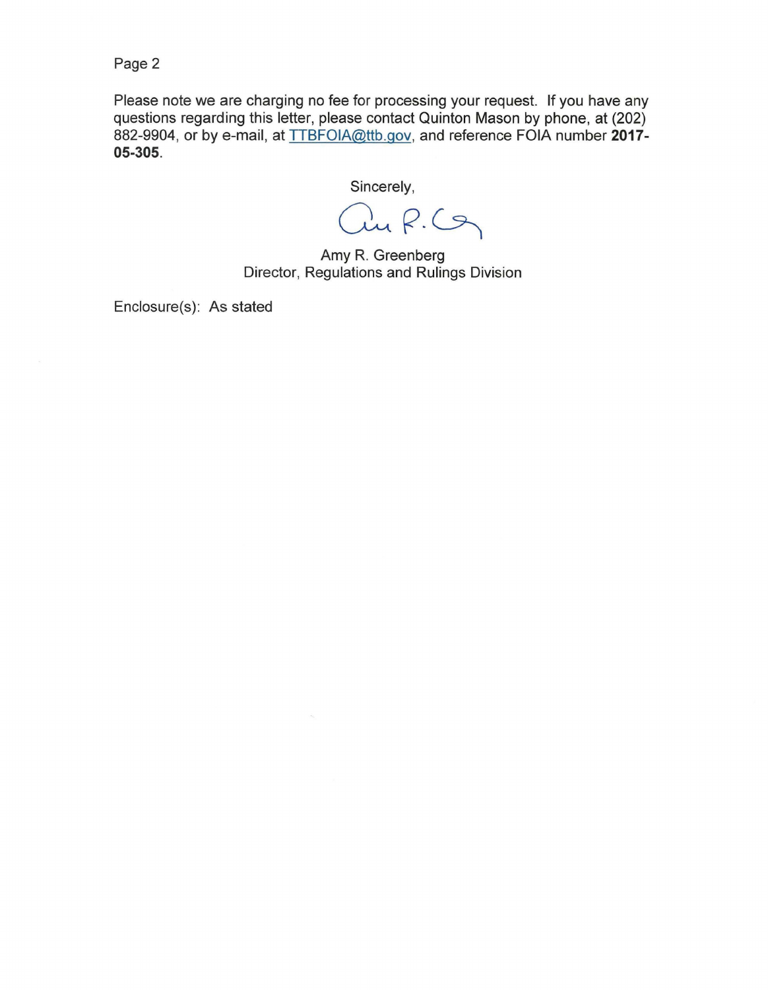Page 2

Please note we are charging no fee for processing your request. If you have any questions regarding this letter, please contact Quinton Mason by phone, at (202) 882-9904, or by e-mail, at TTBFOIA@ttb.gov, and reference FOIA number **2017- 05-305.** 

Sincerely,

au R.Cg

Amy R. Greenberg Director, Regulations and Rulings Division

Enclosure(s): As stated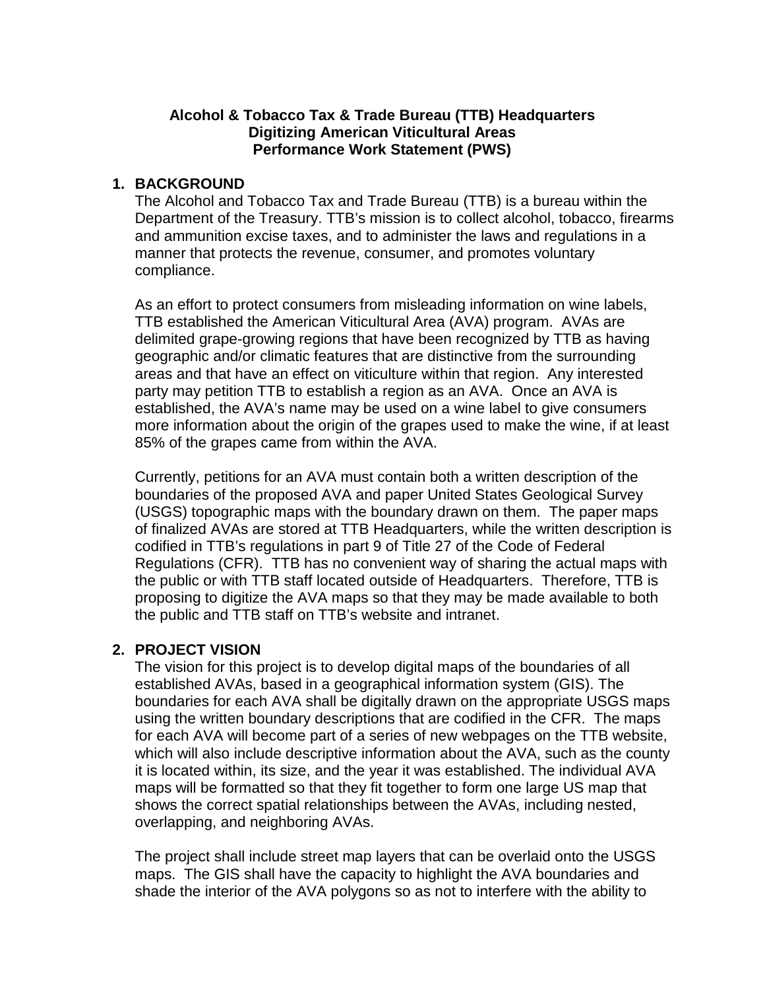# **Alcohol & Tobacco Tax & Trade Bureau (TTB) Headquarters Digitizing American Viticultural Areas Performance Work Statement (PWS)**

# **1. BACKGROUND**

The Alcohol and Tobacco Tax and Trade Bureau (TTB) is a bureau within the Department of the Treasury. TTB's mission is to collect alcohol, tobacco, firearms and ammunition excise taxes, and to administer the laws and regulations in a manner that protects the revenue, consumer, and promotes voluntary compliance.

As an effort to protect consumers from misleading information on wine labels, TTB established the American Viticultural Area (AVA) program. AVAs are delimited grape-growing regions that have been recognized by TTB as having geographic and/or climatic features that are distinctive from the surrounding areas and that have an effect on viticulture within that region. Any interested party may petition TTB to establish a region as an AVA. Once an AVA is established, the AVA's name may be used on a wine label to give consumers more information about the origin of the grapes used to make the wine, if at least 85% of the grapes came from within the AVA.

Currently, petitions for an AVA must contain both a written description of the boundaries of the proposed AVA and paper United States Geological Survey (USGS) topographic maps with the boundary drawn on them. The paper maps of finalized AVAs are stored at TTB Headquarters, while the written description is codified in TTB's regulations in part 9 of Title 27 of the Code of Federal Regulations (CFR). TTB has no convenient way of sharing the actual maps with the public or with TTB staff located outside of Headquarters. Therefore, TTB is proposing to digitize the AVA maps so that they may be made available to both the public and TTB staff on TTB's website and intranet.

## **2. PROJECT VISION**

The vision for this project is to develop digital maps of the boundaries of all established AVAs, based in a geographical information system (GIS). The boundaries for each AVA shall be digitally drawn on the appropriate USGS maps using the written boundary descriptions that are codified in the CFR. The maps for each AVA will become part of a series of new webpages on the TTB website, which will also include descriptive information about the AVA, such as the county it is located within, its size, and the year it was established. The individual AVA maps will be formatted so that they fit together to form one large US map that shows the correct spatial relationships between the AVAs, including nested, overlapping, and neighboring AVAs.

The project shall include street map layers that can be overlaid onto the USGS maps. The GIS shall have the capacity to highlight the AVA boundaries and shade the interior of the AVA polygons so as not to interfere with the ability to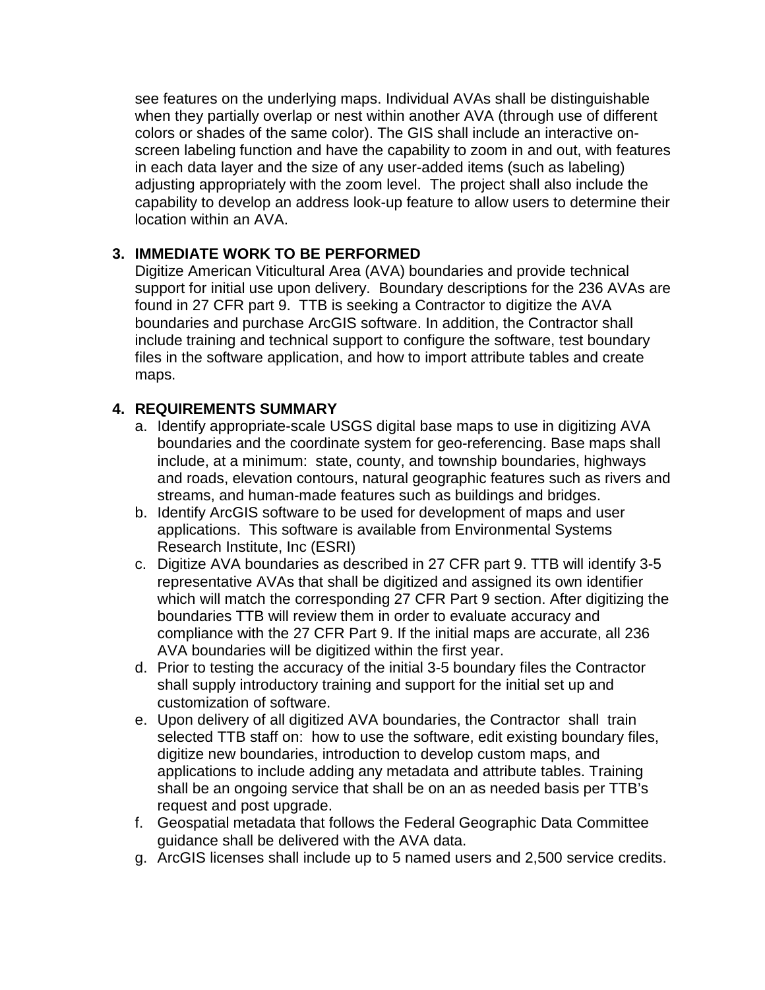see features on the underlying maps. Individual AVAs shall be distinguishable when they partially overlap or nest within another AVA (through use of different colors or shades of the same color). The GIS shall include an interactive onscreen labeling function and have the capability to zoom in and out, with features in each data layer and the size of any user-added items (such as labeling) adjusting appropriately with the zoom level. The project shall also include the capability to develop an address look-up feature to allow users to determine their location within an AVA.

# **3. IMMEDIATE WORK TO BE PERFORMED**

Digitize American Viticultural Area (AVA) boundaries and provide technical support for initial use upon delivery. Boundary descriptions for the 236 AVAs are found in 27 CFR part 9. TTB is seeking a Contractor to digitize the AVA boundaries and purchase ArcGIS software. In addition, the Contractor shall include training and technical support to configure the software, test boundary files in the software application, and how to import attribute tables and create maps.

# **4. REQUIREMENTS SUMMARY**

- a. Identify appropriate-scale USGS digital base maps to use in digitizing AVA boundaries and the coordinate system for geo-referencing. Base maps shall include, at a minimum: state, county, and township boundaries, highways and roads, elevation contours, natural geographic features such as rivers and streams, and human-made features such as buildings and bridges.
- b. Identify ArcGIS software to be used for development of maps and user applications. This software is available from Environmental Systems Research Institute, Inc (ESRI)
- c. Digitize AVA boundaries as described in 27 CFR part 9. TTB will identify 3-5 representative AVAs that shall be digitized and assigned its own identifier which will match the corresponding 27 CFR Part 9 section. After digitizing the boundaries TTB will review them in order to evaluate accuracy and compliance with the 27 CFR Part 9. If the initial maps are accurate, all 236 AVA boundaries will be digitized within the first year.
- d. Prior to testing the accuracy of the initial 3-5 boundary files the Contractor shall supply introductory training and support for the initial set up and customization of software.
- e. Upon delivery of all digitized AVA boundaries, the Contractor shall train selected TTB staff on: how to use the software, edit existing boundary files, digitize new boundaries, introduction to develop custom maps, and applications to include adding any metadata and attribute tables. Training shall be an ongoing service that shall be on an as needed basis per TTB's request and post upgrade.
- f. Geospatial metadata that follows the Federal Geographic Data Committee guidance shall be delivered with the AVA data.
- g. ArcGIS licenses shall include up to 5 named users and 2,500 service credits.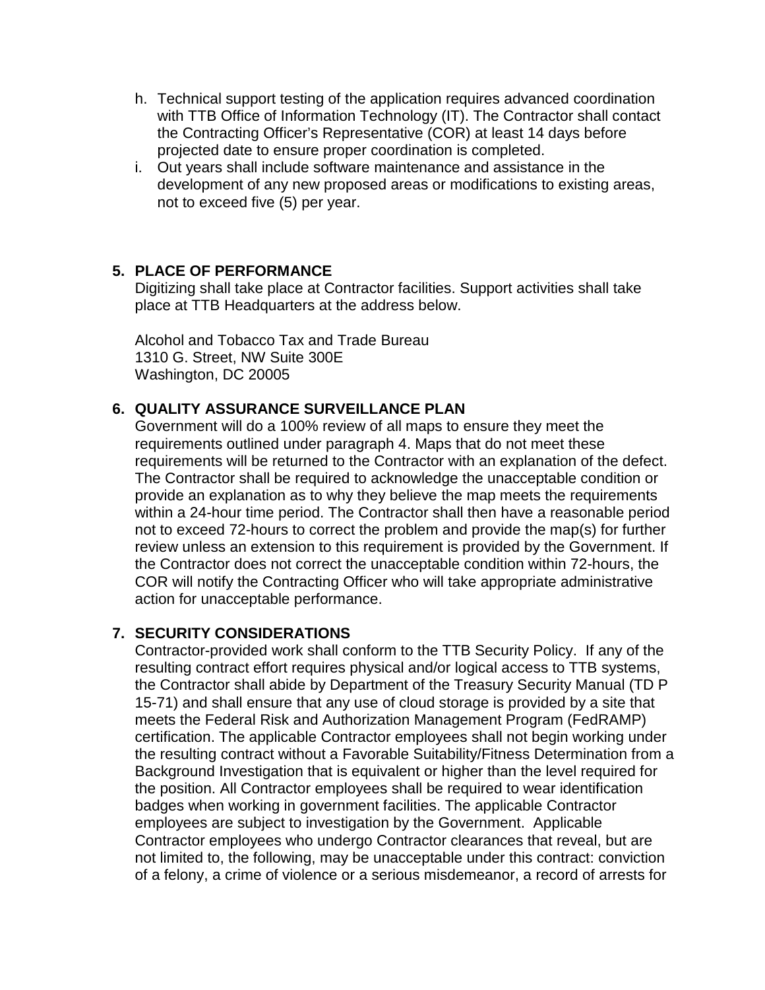- h. Technical support testing of the application requires advanced coordination with TTB Office of Information Technology (IT). The Contractor shall contact the Contracting Officer's Representative (COR) at least 14 days before projected date to ensure proper coordination is completed.
- i. Out years shall include software maintenance and assistance in the development of any new proposed areas or modifications to existing areas, not to exceed five (5) per year.

# **5. PLACE OF PERFORMANCE**

Digitizing shall take place at Contractor facilities. Support activities shall take place at TTB Headquarters at the address below.

Alcohol and Tobacco Tax and Trade Bureau 1310 G. Street, NW Suite 300E Washington, DC 20005

# **6. QUALITY ASSURANCE SURVEILLANCE PLAN**

Government will do a 100% review of all maps to ensure they meet the requirements outlined under paragraph 4. Maps that do not meet these requirements will be returned to the Contractor with an explanation of the defect. The Contractor shall be required to acknowledge the unacceptable condition or provide an explanation as to why they believe the map meets the requirements within a 24-hour time period. The Contractor shall then have a reasonable period not to exceed 72-hours to correct the problem and provide the map(s) for further review unless an extension to this requirement is provided by the Government. If the Contractor does not correct the unacceptable condition within 72-hours, the COR will notify the Contracting Officer who will take appropriate administrative action for unacceptable performance.

# **7. SECURITY CONSIDERATIONS**

Contractor-provided work shall conform to the TTB Security Policy. If any of the resulting contract effort requires physical and/or logical access to TTB systems, the Contractor shall abide by Department of the Treasury Security Manual (TD P 15-71) and shall ensure that any use of cloud storage is provided by a site that meets the Federal Risk and Authorization Management Program (FedRAMP) certification. The applicable Contractor employees shall not begin working under the resulting contract without a Favorable Suitability/Fitness Determination from a Background Investigation that is equivalent or higher than the level required for the position. All Contractor employees shall be required to wear identification badges when working in government facilities. The applicable Contractor employees are subject to investigation by the Government. Applicable Contractor employees who undergo Contractor clearances that reveal, but are not limited to, the following, may be unacceptable under this contract: conviction of a felony, a crime of violence or a serious misdemeanor, a record of arrests for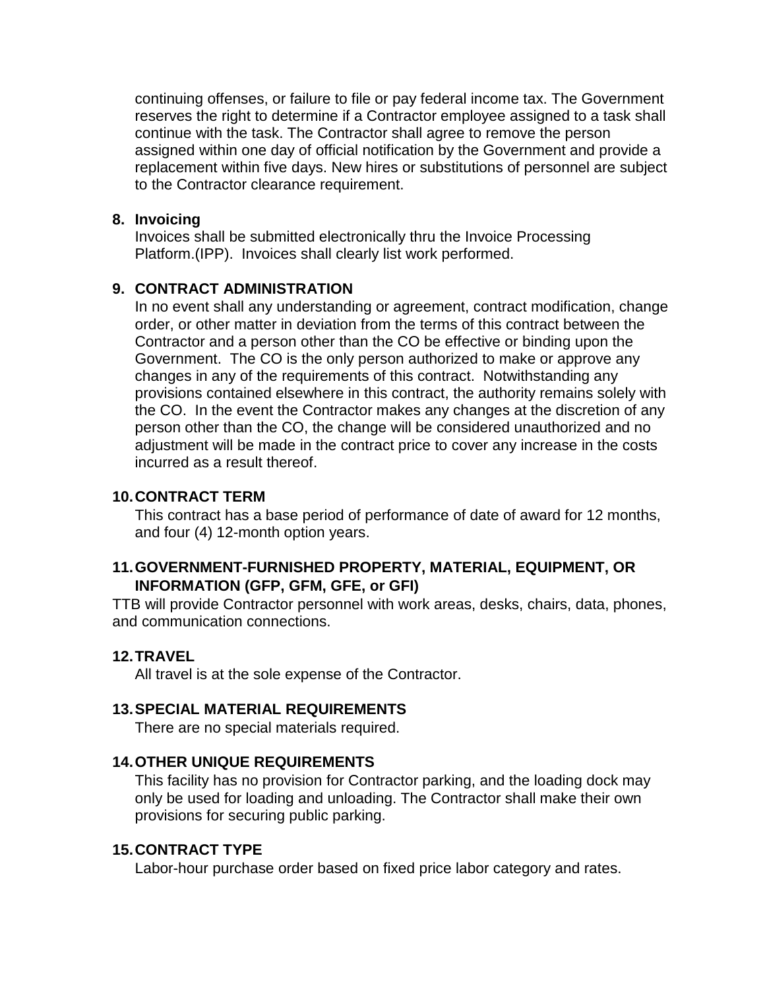continuing offenses, or failure to file or pay federal income tax. The Government reserves the right to determine if a Contractor employee assigned to a task shall continue with the task. The Contractor shall agree to remove the person assigned within one day of official notification by the Government and provide a replacement within five days. New hires or substitutions of personnel are subject to the Contractor clearance requirement.

#### **8. Invoicing**

Invoices shall be submitted electronically thru the Invoice Processing Platform.(IPP). Invoices shall clearly list work performed.

# **9. CONTRACT ADMINISTRATION**

In no event shall any understanding or agreement, contract modification, change order, or other matter in deviation from the terms of this contract between the Contractor and a person other than the CO be effective or binding upon the Government. The CO is the only person authorized to make or approve any changes in any of the requirements of this contract. Notwithstanding any provisions contained elsewhere in this contract, the authority remains solely with the CO. In the event the Contractor makes any changes at the discretion of any person other than the CO, the change will be considered unauthorized and no adjustment will be made in the contract price to cover any increase in the costs incurred as a result thereof.

#### **10.CONTRACT TERM**

This contract has a base period of performance of date of award for 12 months, and four (4) 12-month option years.

# **11.GOVERNMENT-FURNISHED PROPERTY, MATERIAL, EQUIPMENT, OR INFORMATION (GFP, GFM, GFE, or GFI)**

TTB will provide Contractor personnel with work areas, desks, chairs, data, phones, and communication connections.

## **12.TRAVEL**

All travel is at the sole expense of the Contractor.

## **13.SPECIAL MATERIAL REQUIREMENTS**

There are no special materials required.

## **14.OTHER UNIQUE REQUIREMENTS**

This facility has no provision for Contractor parking, and the loading dock may only be used for loading and unloading. The Contractor shall make their own provisions for securing public parking.

#### **15.CONTRACT TYPE**

Labor-hour purchase order based on fixed price labor category and rates.